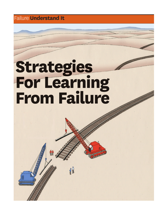Failure **Understand It**

# **Strategies<br>For Learning<br>From Failure**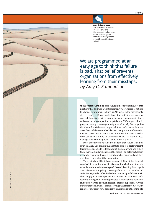



**Amy C. Edmondson**  is the Novartis Professor of Leadership and Management and co-head of the Technology and Operations Management unit at Harvard Business School.

We are programmed at an early age to think that failure is bad. That belief prevents organizations from effectively learning from their missteps. *by Amy C. Edmondson*

**THE WISDOM OF LEARNING** from failure is incontrovertible. Yet organizations that do it well are extraordinarily rare. This gap is not due to a lack of commitment to learning. Managers in the vast majority of enterprises that I have studied over the past 20 years—pharmaceutical, financial services, product design, telecommunications, and construction companies; hospitals; and NASA's space shuttle program, among others—genuinely wanted to help their organizations learn from failures to improve future performance. In some cases they and their teams had devoted many hours to after-action reviews, postmortems, and the like. But time after time I saw that these painstaking efforts led to no real change. The reason: Those managers were thinking about failure the wrong way.

Most executives I've talked to believe that failure is bad (of course!). They also believe that learning from it is pretty straightforward: Ask people to reflect on what they did wrong and exhort them to avoid similar mistakes in the future—or, better yet, assign a team to review and write a report on what happened and then distribute it throughout the organization.

These widely held beliefs are misguided. First, failure is not always bad. In organizational life it is sometimes bad, sometimes inevitable, and sometimes even good. Second, learning from organizational failures is anything but straightforward. The attitudes and activities required to effectively detect and analyze failures are in short supply in most companies, and the need for context-specific learning strategies is underappreciated. Organizations need new and better ways to go beyond lessons that are superficial ("Procedures weren't followed") or self-serving ("The market just wasn't ready for our great new product"). That means jettisoning old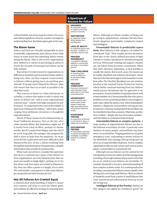### cultural beliefs and stereotypical notions of success and embracing failure's lessons. Leaders can begin by understanding how the blame game gets in the way.

### **The Blame Game**

Failure and fault are virtually inseparable in most households, organizations, and cultures. Every child learns at some point that admitting failure means taking the blame. That is why so few organizations have shifted to a culture of psychological safety in which the rewards of learning from failure can be fully realized.

Executives I've interviewed in organizations as different as hospitals and investment banks admit to being torn: How can they respond constructively to failures without giving rise to an anything-goes attitude? If people aren't blamed for failures, what will ensure that they try as hard as possible to do their best work?

This concern is based on a false dichotomy. In actuality, a culture that makes it safe to admit and report on failure can—and in some organizational contexts must—coexist with high standards for performance. To understand why, look at the exhibit "A Spectrum of Reasons for Failure," which lists causes ranging from deliberate deviation to thoughtful experimentation.

Which of these causes involve blameworthy actions? Deliberate deviance, first on the list, obviously warrants blame. But inattention might not. If it results from a lack of effort, perhaps it's blameworthy. But if it results from fatigue near the end of an overly long shift, the manager who assigned the shift is more at fault than the employee. As we go down the list, it gets more and more difficult to find blame worthy acts. In fact, a failure resulting from thoughtful experimentation that generates valuable information may actually be praiseworthy.

When I ask executives to consider this spectrum and then to estimate how many of the failures in their organizations are truly blameworthy, their answers are usually in single digits—perhaps 2% to 5%. But when I ask how many are treated as blameworthy, they say (after a pause or a laugh) 70% to 90%. The unfortunate consequence is that many failures go unreported and their lessons are lost.

### **Not All Failures Are Created Equal**

A sophisticated understanding of failure's causes and contexts will help to avoid the blame game and institute an effective strategy for learning from

### **A Spectrum of Reasons for Failure**

### **DEVIANCE**

An individual chooses to violate a prescribed process or practice.

**INATTENTION** An individual inadvertently deviates from specifications. **BLAMEWORTHY**

> **LACK OF ABILITY** An individual doesn't have the skills, conditions, or training to execute a job.

**PROCESS INADEQUACY** A competent individual adheres to a prescribed but faulty or incomplete process.

**TASK CHALLENGE** An individual faces a task too difficult to be executed reliably every time.

### **PROCESS COMPLEXITY** A process composed of many elements breaks down when it encounters novel interactions.

**UNCERTAINTY** A lack of clarity about future events causes people to take seemingly reasonable actions that produce undesired results.

### **HYPOTHESIS TESTING**

An experiment conducted to prove that an idea or a design will succeed fails.

### **EXPLORATORY TESTING** An experiment conducted to expand knowledge and **PRAISEWORTHY**

**PRAISEWORTHY** 

investigate a possibility leads to an undesired result.

failure. Although an infinite number of things can go wrong in organizations, mistakes fall into three broad categories: preventable, complexity-related, and intelligent.

**Preventable failures in predictable operations.** Most failures in this category can indeed be considered "bad." They usually involve deviations from spec in the closely defined processes of highvolume or routine operations in manufacturing and services. With proper training and support, employees can follow those processes consistently. When they don't, deviance, inattention, or lack of ability is usually the reason. But in such cases, the causes can be readily identified and solutions developed. Checklists (as in the Harvard surgeon Atul Gawande's recent best seller The Checklist Manifesto) are one solution. Another is the vaunted Toyota Production System, which builds continual learning from tiny failures (small process deviations) into its approach to improvement. As most students of operations know well, a team member on a Toyota assembly line who spots a problem or even a potential problem is encouraged to pull a rope called the andon cord, which immediately initiates a diagnostic and problem-solving process. Production continues unimpeded if the problem can be remedied in less than a minute. Otherwise, production is halted—despite the loss of revenue entailed until the failure is understood and resolved.

**Unavoidable failures in complex systems.** A large number of organizational failures are due to the inherent uncertainty of work: A particular combination of needs, people, and problems may have never occurred before. Triaging patients in a hospital emergency room, responding to enemy actions on the battlefield, and running a fast-growing start-up all occur in unpredictable situations. And in complex organizations like aircraft carriers and nuclear power plants, system failure is a perpetual risk.

Although serious failures can be averted by following best practices for safety and risk management, including a thorough analysis of any such events that do occur, small process failures are inevitable. To consider them bad is not just a misunderstanding of how complex systems work; it is counterproductive. Avoiding consequential failures means rapidly identifying and correcting small failures. Most accidents in hospitals result from a series of small failures that went unnoticed and unfortunately lined up in just the wrong way.

**Intelligent failures at the frontier.** Failures in this category can rightly be considered "good," be-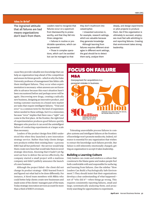### **Idea in Brief**

The ingrained attitude that all failures are bad means organizations don't learn from them.

Leaders need to recognize that failures occur on a spectrum from blameworthy to praiseworthy, and that they fall into three categories:

• Failures in routine or predictable operations, which can be prevented

• Those in complex operations, which can't be avoided but can be managed so that

they don't mushroom into catastrophes

• Unwanted outcomes in, for example, research settings, which are valuable because they generate knowledge

Although learning from failures requires different strategies in different work settings, the goal should be to detect them early, analyze them

deeply, and design experiments or pilot projects to produce them. But if the organization is ultimately to succeed, employees must feel safe admitting to and reporting failures. Creating that environment takes strong leadership.

cause they provide valuable new knowledge that can help an organization leap ahead of the competition and ensure its future growth—which is why the Duke University professor of management Sim Sitkin calls them intelligent failures. They occur when experimentation is necessary: when answers are not knowable in advance because this exact situation hasn't been encountered before and perhaps never will be again. Discovering new drugs, creating a radically new business, designing an innovative product, and testing customer reactions in a brand-new market are tasks that require intelligent failures. "Trial and error" is a common term for the kind of experimentation needed in these settings, but it is a misnomer, because "error" implies that there was a "right" outcome in the first place. At the frontier, the right kind of experimentation produces good failures quickly. Managers who practice it can avoid the unintelligent failure of conducting experiments at a larger scale than necessary.

Leaders of the product design firm IDEO understood this when they launched a new innovationstrategy service. Rather than help clients design new products within their existing lines—a process IDEO had all but perfected—the service would help them create new lines that would take them in novel strategic directions. Knowing that it hadn't yet figured out how to deliver the service effectively, the company started a small project with a mattress company and didn't publicly announce the launch of a new business.

Although the project failed—the client did not change its product strategy—IDEO learned from it and figured out what had to be done differently. For instance, it hired team members with MBAs who could better help clients create new businesses and made some of the clients' managers part of the team. Today strategic innovation services account for more than a third of IDEO's revenues.

# FOCUS ON FAILURE

M&A Overpayme<br>perennial r<br>**Allan School** AMOUNT AOL SOLD CONNECTIVE SOCIAL BEBO FOR IN 2010 Overpayment for acquisitions is a perennial mistake in business. AMOUNT AOL PAID FOR THE SOCIAL NETWORK BEBO IN 2008 ri i li

Tolerating unavoidable process failures in complex systems and intelligent failures at the frontiers of knowledge won't promote mediocrity. Indeed, tolerance is essential for any organization that wishes to extract the knowledge such failures provide. But failure is still inherently emotionally charged; getting an organization to accept it takes leadership.

### **Building a Learning Culture**

Only leaders can create and reinforce a culture that counteracts the blame game and makes people feel both comfortable with and responsible for surfacing and learning from failures. (See the sidebar "How Leaders Can Build a Psychologically Safe Environment.") They should insist that their organizations develop a clear understanding of what happened not of "who did it"—when things go wrong. This requires consistently reporting failures, small and large; systematically analyzing them; and proactively searching for opportunities to experiment.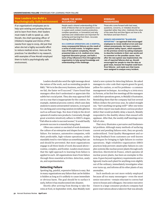### **How Leaders Can Build a Psychologically Safe Environment**

If an organization's employees are to help spot existing and pending failures and to learn from them, their leaders must make it safe to speak up. Julie Morath, the chief operating officer of Children's Hospital and Clinics of Minnesota from 1999 to 2009, did just that when she led a highly successful effort to reduce medical errors. Here are five practices I've identified in my research, with examples of how Morath employed them to build a psychologically safe environment.

### **FRAME THE WORK ACCURATELY**

People need a shared understanding of the kinds of failures that can be expected to occur in a given work context (routine production, complex operations, or innovation) and why openness and collaboration are important for surfacing and learning from them. Accurate framing detoxifies failure.

### **IN A COMPLEX OPERATION LIKE A HOSPITAL,**

**many consequential failures are the result of a series of small events. To heighten awareness of this system complexity, Morath presented data on U.S. medical error rates, organized discussion groups, and built a**  team of key influencers from throughout the **organization to help spread knowledge and understanding of the challenge.**

### **EMBRACE MESSENGERS**

Those who come forward with bad news, questions, concerns, or mistakes should be rewarded rather than shot. Celebrate the value of the news first and then figure out how to fix the failure and learn from it.

### **MORATH IMPLEMENTED "BLAMELESS**

**REPORTING"—an approach that encouraged employees to reveal medical errors and near misses anonymously. Her team created a new patient safety report, which expanded on the previous version by asking employees to describe incidents in their own words and to comment on the possible causes. Soon after the new system was implemented, the rate of reported failures shot up. Morath encouraged her people to view the data as good news, because the hospital could learn from failures—and made sure that teams were assigned to analyze every incident.**

Leaders should also send the right message about the nature of the work, such as reminding people in R&D, "We're in the discovery business, and the faster we fail, the faster we'll succeed." I have found that managers often don't understand or appreciate this subtle but crucial point. They also may approach failure in a way that is inappropriate for the context. For example, statistical process control, which uses data analysis to assess unwarranted variances, is not good for catching and correcting random invisible glitches such as software bugs. Nor does it help in the development of creative new products. Conversely, though great scientists intuitively adhere to IDEO's slogan, "Fail often in order to succeed sooner," it would hardly promote success in a manufacturing plant.

 Often one context or one kind of work dominates the culture of an enterprise and shapes how it treats failure. For instance, automotive companies, with their predictable, high-volume operations, understandably tend to view failure as something that can and should be prevented. But most organizations engage in all three kinds of work discussed above routine, complex, and frontier. Leaders must ensure that the right approach to learning from failure is applied in each. All organizations learn from failure through three essential activities: detection, analysis, and experimentation.

### **Detecting Failure**

Spotting big, painful, expensive failures is easy. But in many organizations any failure that can be hidden is hidden as long as it's unlikely to cause immediate or obvious harm. The goal should be to surface it early, before it has mushroomed into disaster.

Shortly after arriving from Boeing to take the reins at Ford, in September 2006, Alan Mulally instituted a new system for detecting failures. He asked managers to color code their reports green for good, yellow for caution, or red for problems—a common management technique. According to a 2009 story in Fortune, at his first few meetings all the managers coded their operations green, to Mulally's frustration. Reminding them that the company had lost several billion dollars the previous year, he asked straight out, "Isn't anything not going well?" After one tentative yellow report was made about a serious product defect that would probably delay a launch, Mulally responded to the deathly silence that ensued with applause. After that, the weekly staff meetings were full of color.

That story illustrates a pervasive and fundamental problem: Although many methods of surfacing current and pending failures exist, they are grossly underutilized. Total Quality Management and soliciting feedback from customers are well-known techniques for bringing to light failures in routine operations. High-reliability-organization (HRO) practices help prevent catastrophic failures in complex systems like nuclear power plants through early detection. Electricité de France, which operates 58 nuclear power plants, has been an exemplar in this area: It goes beyond regulatory requirements and religiously tracks each plant for anything even slightly out of the ordinary, immediately investigates whatever turns up, and informs all its other plants of any anomalies.

Such methods are not more widely employed because all too many messengers—even the most senior executives—remain reluctant to convey bad news to bosses and colleagues. One senior executive I know in a large consumer products company had grave reservations about a takeover that was already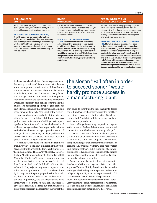### **ACKNOWLEDGE LIMITS**

Being open about what you don't know, mistakes you've made, and what you can't get done alone will encourage others to do the same.

### **AS SOON AS SHE JOINED THE HOSPITAL,**

**Morath explained her passion for patient safety and acknowledged that as a newcomer, she had only limited knowledge of how things worked at Children's. In group presentations and one-on-one discussions, she made clear that she would need everyone's help to reduce errors.**

### **INVITE PARTICIPATION**

Ask for observations and ideas and create opportunities for people to detect and analyze failures and promote intelligent experiments. Inviting participation helps defuse resistance and defensiveness.

### **MORATH SET UP CROSS-DISCIPLINARY**

**TEAMS to analyze failures and personally asked thoughtful questions of employees at all levels. Early on, she invited people to**  reflect on their recent experiences in caring **for patients: Was everything as safe as they would have wanted it to be? This helped them recognize that the hospital had room for improvement. Suddenly, people were lining up to help.** 

### **SET BOUNDARIES AND HOLD PEOPLE ACCOUNTABLE**

Paradoxically, people feel psychologically safer when leaders are clear about what acts are blameworthy. And there must be consequences. But if someone is punished or fired, tell those directly and indirectly affected what happened and why it warranted blame.

### **WHEN SHE INSTITUTED BLAMELESS REPORT-**

**ING, Morath explained to employees that although reporting would not be punished,**  specific behaviors (such as reckless conduct, **conscious violation of standards, failing to ask for help when over one's head) would. If someone makes the same mistake three times**  and is then laid off, coworkers usually express **relief, along with sadness and concern—they understand that patients were at risk and that extra vigilance was required from others to counterbalance the person's shortcomings.**

in the works when he joined the management team. But, overly conscious of his newcomer status, he was silent during discussions in which all the other executives seemed enthusiastic about the plan. Many months later, when the takeover had clearly failed, the team gathered to review what had happened. Aided by a consultant, each executive considered what he or she might have done to contribute to the failure. The newcomer, openly apologetic about his past silence, explained that others' enthusiasm had made him unwilling to be "the skunk at the picnic."

 In researching errors and other failures in hospitals, I discovered substantial differences across patient-care units in nurses' willingness to speak up about them. It turned out that the behavior of midlevel managers—how they responded to failures and whether they encouraged open discussion of them, welcomed questions, and displayed humility and curiosity—was the cause. I have seen the same pattern in a wide range of organizations.

A horrific case in point, which I studied for more than two years, is the 2003 explosion of the Columbia space shuttle, which killed seven astronauts (see "Facing Ambiguous Threats," by Michael A. Roberto, Richard M.J. Bohmer, and Amy C. Edmondson, HBR November 2006). NASA managers spent some two weeks downplaying the seriousness of a piece of foam's having broken off the left side of the shuttle at launch. They rejected engineers' requests to resolve the ambiguity (which could have been done by having a satellite photograph the shuttle or asking the astronauts to conduct a space walk to inspect the area in question), and the major failure went largely undetected until its fatal consequences 16 days later. Ironically, a shared but unsubstantiated belief among program managers that there was little

The slogan "Fail often in order to succeed sooner" would hardly promote success in a manufacturing plant.

they could do contributed to their inability to detect the failure. Postevent analyses suggested that they might indeed have taken fruitful action. But clearly leaders hadn't established the necessary culture, systems, and procedures.

One challenge is teaching people in an organization when to declare defeat in an experimental course of action. The human tendency to hope for the best and try to avoid failure at all costs gets in the way, and organizational hierarchies exacerbate it. As a result, failing R&D projects are often kept going much longer than is scientifically rational or economically prudent. We throw good money after bad, praying that we'll pull a rabbit out of a hat. Intuition may tell engineers or scientists that a project has fatal flaws, but the formal decision to call it a failure may be delayed for months.

Again, the remedy—which does not necessarily involve much time and expense—is to reduce the stigma of failure. Eli Lilly has done this since the early 1990s by holding "failure parties" to honor intelligent, high-quality scientific experiments that fail to achieve the desired results. The parties don't cost much, and redeploying valuable resources—particularly scientists—to new projects earlier rather than later can save hundreds of thousands of dollars, not to mention kickstart potential new discoveries.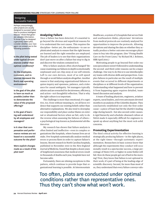### Designing Successful Failures

Perhaps unsurprising<br>pilot projects are usu<br>designed to succeed<br>than to produce intel<br>failures—those that g<br>ate valuable informat<br>To know if you've desi<br>a genuinely useful pilit<br>consider whether you<br>agers can answer yes<br>fo Perhaps unsurprisingly, pilot projects are usually designed to succeed rather than to produce intelligent failures—those that generate valuable information. To know if you've designed a genuinely useful pilot, consider whether your managers can answer yes to the following questions:

**Is the pilot being tested under typical circumstances (rather than optimal conditions)?** 

**Do the employees, customers, and resources represent the fi rm's real operating environment?**

**Is the goal of the pilot to learn as much as possible (rather than to demonstrate the value of the proposed**  offering)?

**Is the goal of learning well understood by all employees and managers?**

**Is it clear that compensation and performance reviews are not based on a successful outcome for the pilot?**

**Were explicit changes made as a result of the pilot test?** 

### **Analyzing Failure**

Once a failure has been detected, it's essential to go beyond the obvious and superficial reasons for it to understand the root causes. This requires the discipline—better yet, the enthusiasm—to use sophisticated analysis to ensure that the right lessons are learned and the right remedies are employed. The job of leaders is to see that their organizations don't just move on after a failure but stop to dig in and discover the wisdom contained in it.

Why is failure analysis often shortchanged? Because examining our failures in depth is emotionally unpleasant and can chip away at our self-esteem. Left to our own devices, most of us will speed through or avoid failure analysis altogether. Another reason is that analyzing organizational failures requires inquiry and openness, patience, and a tolerance for causal ambiguity. Yet managers typically admire and are rewarded for decisiveness, efficiency, and action—not thoughtful reflection. That is why the right culture is so important.

The challenge is more than emotional; it's cognitive, too. Even without meaning to, we all favor evidence that supports our existing beliefs rather than alternative explanations. We also tend to downplay our responsibility and place undue blame on external or situational factors when we fail, only to do the reverse when assessing the failures of others a psychological trap known as fundamental attribution error.

My research has shown that failure analysis is often limited and ineffective—even in complex organizations like hospitals, where human lives are at stake. Few hospitals systematically analyze medical errors or process flaws in order to capture failure's lessons. Recent research in North Carolina hospitals, published in November 2010 in the New England Journal of Medicine, found that despite a dozen years of heightened awareness that medical errors result in thousands of deaths each year, hospitals have not become safer.

Fortunately, there are shining exceptions to this pattern, which continue to provide hope that organizational learning is possible. At Intermountain

Healthcare, a system of 23 hospitals that serves Utah and southeastern Idaho, physicians' deviations from medical protocols are routinely analyzed for opportunities to improve the protocols. Allowing deviations and sharing the data on whether they actually produce a better outcome encourages physicians to buy into this program. (See "Fixing Health Care on the Front Lines," by Richard M.J. Bohmer, HBR April 2010.)

Motivating people to go beyond first-order reasons (procedures weren't followed) to understanding the second- and third-order reasons can be a major challenge. One way to do this is to use interdisciplinary teams with diverse skills and perspectives. Complex failures in particular are the result of multiple events that occurred in different departments or disciplines or at different levels of the organization. Understanding what happened and how to prevent it from happening again requires detailed, teambased discussion and analysis.

A team of leading physicists, engineers, aviation experts, naval leaders, and even astronauts devoted months to an analysis of the Columbia disaster. They conclusively established not only the first-order cause—a piece of foam had hit the shuttle's leading edge during launch—but also second-order causes: A rigid hierarchy and schedule-obsessed culture at NASA made it especially difficult for engineers to speak up about anything but the most rock-solid concerns.

### **Promoting Experimentation**

The third critical activity for effective learning is strategically producing failures—in the right places, at the right times—through systematic experimentation. Researchers in basic science know that although the experiments they conduct will occasionally result in a spectacular success, a large percentage of them (70% or higher in some fields) will fail. How do these people get out of bed in the morning? First, they know that failure is not optional in their work; it's part of being at the leading edge of scientific discovery. Second, far more than most of us, they understand that every failure conveys valu-

Too often, pilots are conducted under optimal conditions rather than representative ones. Thus they can't show what *won't* work.